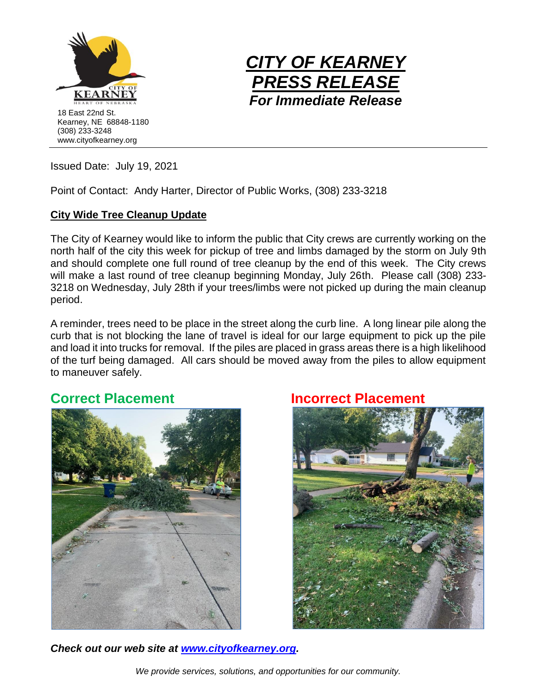



Issued Date: July 19, 2021

Point of Contact: Andy Harter, Director of Public Works, (308) 233-3218

## **City Wide Tree Cleanup Update**

The City of Kearney would like to inform the public that City crews are currently working on the north half of the city this week for pickup of tree and limbs damaged by the storm on July 9th and should complete one full round of tree cleanup by the end of this week. The City crews will make a last round of tree cleanup beginning Monday, July 26th. Please call (308) 233- 3218 on Wednesday, July 28th if your trees/limbs were not picked up during the main cleanup period.

A reminder, trees need to be place in the street along the curb line. A long linear pile along the curb that is not blocking the lane of travel is ideal for our large equipment to pick up the pile and load it into trucks for removal. If the piles are placed in grass areas there is a high likelihood of the turf being damaged. All cars should be moved away from the piles to allow equipment to maneuver safely.

## **Correct Placement Correct Placement**





*Check out our web site at [www.cityofkearney.org.](http://www.cityofkearney.org/)*

*We provide services, solutions, and opportunities for our community.*